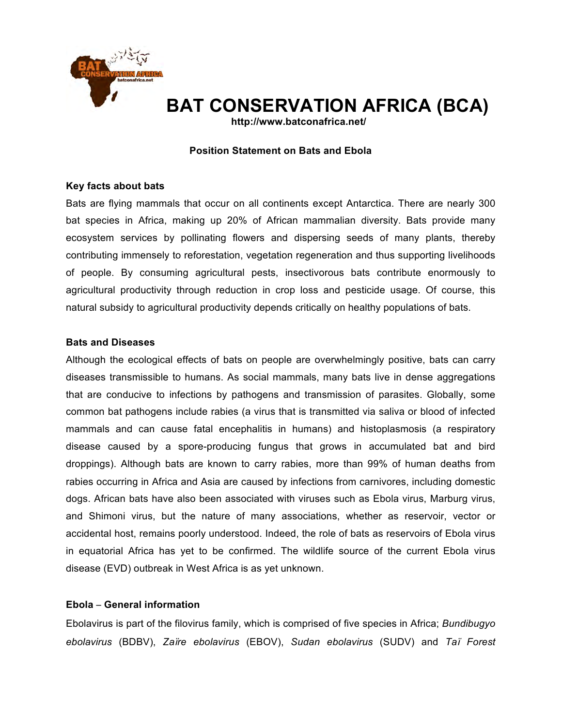

# **BAT CONSERVATION AFRICA (BCA)**

**http://www.batconafrica.net/**

#### **Position Statement on Bats and Ebola**

#### **Key facts about bats**

Bats are flying mammals that occur on all continents except Antarctica. There are nearly 300 bat species in Africa, making up 20% of African mammalian diversity. Bats provide many ecosystem services by pollinating flowers and dispersing seeds of many plants, thereby contributing immensely to reforestation, vegetation regeneration and thus supporting livelihoods of people. By consuming agricultural pests, insectivorous bats contribute enormously to agricultural productivity through reduction in crop loss and pesticide usage. Of course, this natural subsidy to agricultural productivity depends critically on healthy populations of bats.

#### **Bats and Diseases**

Although the ecological effects of bats on people are overwhelmingly positive, bats can carry diseases transmissible to humans. As social mammals, many bats live in dense aggregations that are conducive to infections by pathogens and transmission of parasites. Globally, some common bat pathogens include rabies (a virus that is transmitted via saliva or blood of infected mammals and can cause fatal encephalitis in humans) and histoplasmosis (a respiratory disease caused by a spore-producing fungus that grows in accumulated bat and bird droppings). Although bats are known to carry rabies, more than 99% of human deaths from rabies occurring in Africa and Asia are caused by infections from carnivores, including domestic dogs. African bats have also been associated with viruses such as Ebola virus, Marburg virus, and Shimoni virus, but the nature of many associations, whether as reservoir, vector or accidental host, remains poorly understood. Indeed, the role of bats as reservoirs of Ebola virus in equatorial Africa has yet to be confirmed. The wildlife source of the current Ebola virus disease (EVD) outbreak in West Africa is as yet unknown.

## **Ebola General information**

Ebolavirus is part of the filovirus family, which is comprised of five species in Africa; *Bundibugyo ebolavirus* (BDBV), *Zare ebolavirus* (EBOV), *Sudan ebolavirus* (SUDV) and *Ta Forest*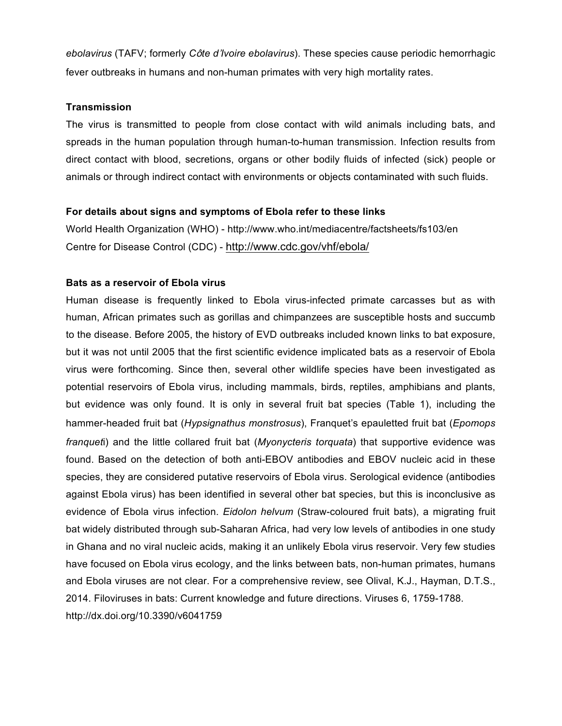*ebolavirus* (TAFV; formerly *Cte dIvoire ebolavirus*). These species cause periodic hemorrhagic fever outbreaks in humans and non-human primates with very high mortality rates.

#### **Transmission**

The virus is transmitted to people from close contact with wild animals including bats, and spreads in the human population through human-to-human transmission. Infection results from direct contact with blood, secretions, organs or other bodily fluids of infected (sick) people or animals or through indirect contact with environments or objects contaminated with such fluids.

#### **For details about signs and symptoms of Ebola refer to these links**

World Health Organization (WHO) - http://www.who.int/mediacentre/factsheets/fs103/en Centre for Disease Control (CDC) - http://www.cdc.gov/vhf/ebola/

## **Bats as a reservoir of Ebola virus**

Human disease is frequently linked to Ebola virus-infected primate carcasses but as with human, African primates such as gorillas and chimpanzees are susceptible hosts and succumb to the disease. Before 2005, the history of EVD outbreaks included known links to bat exposure, but it was not until 2005 that the first scientific evidence implicated bats as a reservoir of Ebola virus were forthcoming. Since then, several other wildlife species have been investigated as potential reservoirs of Ebola virus, including mammals, birds, reptiles, amphibians and plants, but evidence was only found. It is only in several fruit bat species (Table 1), including the hammer-headed fruit bat (Hypsignathus monstrosus), Franquet's epauletted fruit bat (Epomops *franquet*i) and the little collared fruit bat (*Myonycteris torquata*) that supportive evidence was found. Based on the detection of both anti-EBOV antibodies and EBOV nucleic acid in these species, they are considered putative reservoirs of Ebola virus. Serological evidence (antibodies against Ebola virus) has been identified in several other bat species, but this is inconclusive as evidence of Ebola virus infection. *Eidolon helvum* (Straw-coloured fruit bats), a migrating fruit bat widely distributed through sub-Saharan Africa, had very low levels of antibodies in one study in Ghana and no viral nucleic acids, making it an unlikely Ebola virus reservoir. Very few studies have focused on Ebola virus ecology, and the links between bats, non-human primates, humans and Ebola viruses are not clear. For a comprehensive review, see Olival, K.J., Hayman, D.T.S., 2014. Filoviruses in bats: Current knowledge and future directions. Viruses 6, 1759-1788. http://dx.doi.org/10.3390/v6041759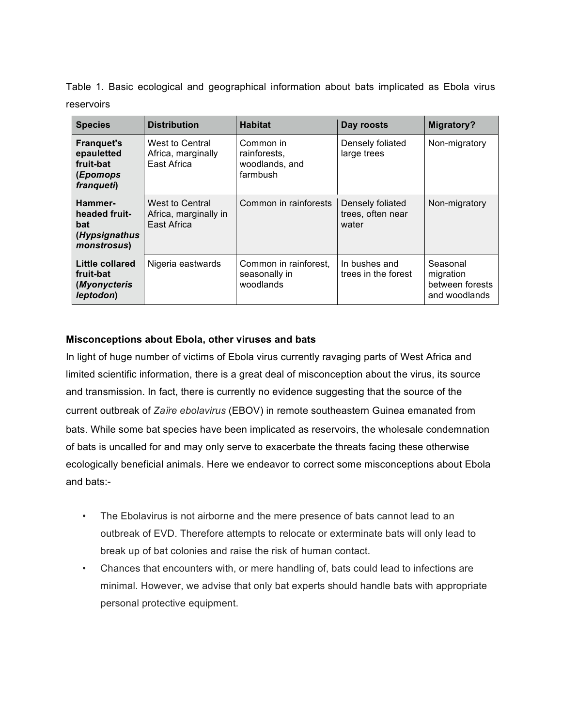Table 1. Basic ecological and geographical information about bats implicated as Ebola virus reservoirs

| <b>Species</b>                                                          | <b>Distribution</b>                                     | <b>Habitat</b>                                          | Day roosts                                     | <b>Migratory?</b>                                         |
|-------------------------------------------------------------------------|---------------------------------------------------------|---------------------------------------------------------|------------------------------------------------|-----------------------------------------------------------|
| <b>Franquet's</b><br>epauletted<br>fruit-bat<br>(Epomops<br>franqueti)  | West to Central<br>Africa, marginally<br>East Africa    | Common in<br>rainforests,<br>woodlands, and<br>farmbush | Densely foliated<br>large trees                | Non-migratory                                             |
| Hammer-<br>headed fruit-<br>bat<br>(Hypsignathus<br><i>monstrosus</i> ) | West to Central<br>Africa, marginally in<br>East Africa | Common in rainforests                                   | Densely foliated<br>trees, often near<br>water | Non-migratory                                             |
| Little collared<br>fruit-bat<br>(Myonycteris<br>leptodon)               | Nigeria eastwards                                       | Common in rainforest,<br>seasonally in<br>woodlands     | In bushes and<br>trees in the forest           | Seasonal<br>migration<br>between forests<br>and woodlands |

# **Misconceptions about Ebola, other viruses and bats**

In light of huge number of victims of Ebola virus currently ravaging parts of West Africa and limited scientific information, there is a great deal of misconception about the virus, its source and transmission. In fact, there is currently no evidence suggesting that the source of the current outbreak of *Zare ebolavirus* (EBOV) in remote southeastern Guinea emanated from bats. While some bat species have been implicated as reservoirs, the wholesale condemnation of bats is uncalled for and may only serve to exacerbate the threats facing these otherwise ecologically beneficial animals. Here we endeavor to correct some misconceptions about Ebola and bats:-

- The Ebolavirus is not airborne and the mere presence of bats cannot lead to an outbreak of EVD. Therefore attempts to relocate or exterminate bats will only lead to break up of bat colonies and raise the risk of human contact.
- Chances that encounters with, or mere handling of, bats could lead to infections are minimal. However, we advise that only bat experts should handle bats with appropriate personal protective equipment.